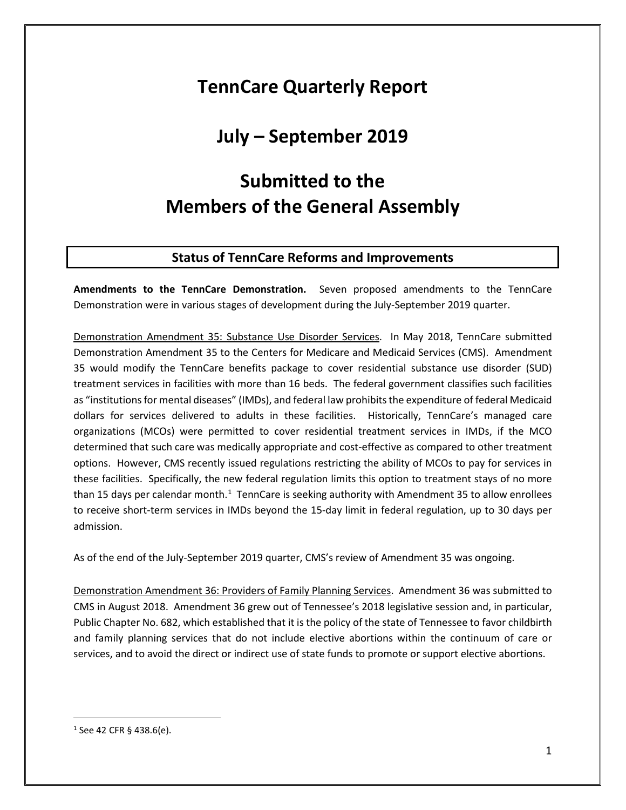# **TennCare Quarterly Report**

# **July – September 2019**

# **Submitted to the Members of the General Assembly**

## **Status of TennCare Reforms and Improvements**

**Amendments to the TennCare Demonstration.** Seven proposed amendments to the TennCare Demonstration were in various stages of development during the July-September 2019 quarter.

Demonstration Amendment 35: Substance Use Disorder Services. In May 2018, TennCare submitted Demonstration Amendment 35 to the Centers for Medicare and Medicaid Services (CMS). Amendment 35 would modify the TennCare benefits package to cover residential substance use disorder (SUD) treatment services in facilities with more than 16 beds. The federal government classifies such facilities as "institutions for mental diseases" (IMDs), and federal law prohibits the expenditure of federal Medicaid dollars for services delivered to adults in these facilities. Historically, TennCare's managed care organizations (MCOs) were permitted to cover residential treatment services in IMDs, if the MCO determined that such care was medically appropriate and cost-effective as compared to other treatment options. However, CMS recently issued regulations restricting the ability of MCOs to pay for services in these facilities. Specifically, the new federal regulation limits this option to treatment stays of no more than [1](#page-0-0)5 days per calendar month.<sup>1</sup> TennCare is seeking authority with Amendment 35 to allow enrollees to receive short-term services in IMDs beyond the 15-day limit in federal regulation, up to 30 days per admission.

As of the end of the July-September 2019 quarter, CMS's review of Amendment 35 was ongoing.

Demonstration Amendment 36: Providers of Family Planning Services. Amendment 36 was submitted to CMS in August 2018. Amendment 36 grew out of Tennessee's 2018 legislative session and, in particular, Public Chapter No. 682, which established that it is the policy of the state of Tennessee to favor childbirth and family planning services that do not include elective abortions within the continuum of care or services, and to avoid the direct or indirect use of state funds to promote or support elective abortions.

<span id="page-0-0"></span> $1$  See 42 CFR § 438.6(e).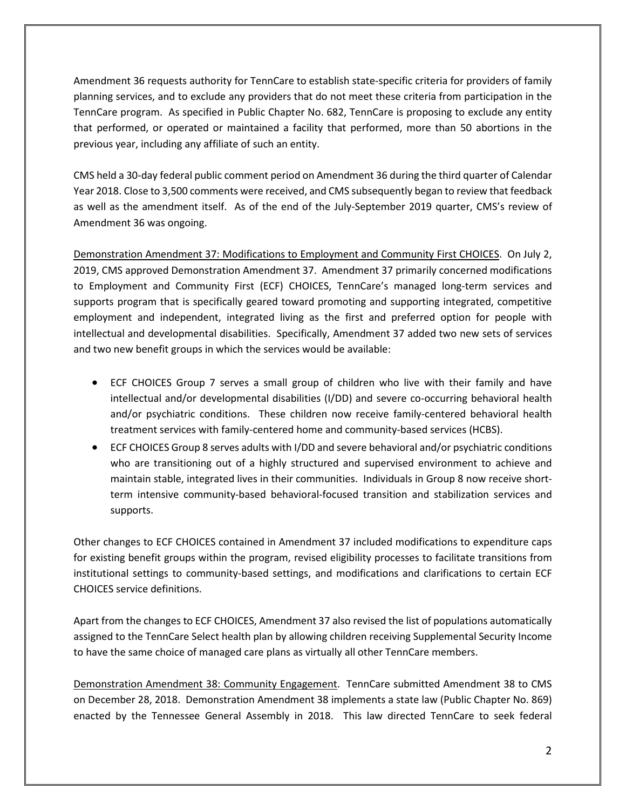Amendment 36 requests authority for TennCare to establish state-specific criteria for providers of family planning services, and to exclude any providers that do not meet these criteria from participation in the TennCare program. As specified in Public Chapter No. 682, TennCare is proposing to exclude any entity that performed, or operated or maintained a facility that performed, more than 50 abortions in the previous year, including any affiliate of such an entity.

CMS held a 30-day federal public comment period on Amendment 36 during the third quarter of Calendar Year 2018. Close to 3,500 comments were received, and CMS subsequently began to review that feedback as well as the amendment itself. As of the end of the July-September 2019 quarter, CMS's review of Amendment 36 was ongoing.

Demonstration Amendment 37: Modifications to Employment and Community First CHOICES. On July 2, 2019, CMS approved Demonstration Amendment 37. Amendment 37 primarily concerned modifications to Employment and Community First (ECF) CHOICES, TennCare's managed long-term services and supports program that is specifically geared toward promoting and supporting integrated, competitive employment and independent, integrated living as the first and preferred option for people with intellectual and developmental disabilities. Specifically, Amendment 37 added two new sets of services and two new benefit groups in which the services would be available:

- ECF CHOICES Group 7 serves a small group of children who live with their family and have intellectual and/or developmental disabilities (I/DD) and severe co-occurring behavioral health and/or psychiatric conditions. These children now receive family-centered behavioral health treatment services with family-centered home and community-based services (HCBS).
- ECF CHOICES Group 8 serves adults with I/DD and severe behavioral and/or psychiatric conditions who are transitioning out of a highly structured and supervised environment to achieve and maintain stable, integrated lives in their communities. Individuals in Group 8 now receive shortterm intensive community-based behavioral-focused transition and stabilization services and supports.

Other changes to ECF CHOICES contained in Amendment 37 included modifications to expenditure caps for existing benefit groups within the program, revised eligibility processes to facilitate transitions from institutional settings to community-based settings, and modifications and clarifications to certain ECF CHOICES service definitions.

Apart from the changes to ECF CHOICES, Amendment 37 also revised the list of populations automatically assigned to the TennCare Select health plan by allowing children receiving Supplemental Security Income to have the same choice of managed care plans as virtually all other TennCare members.

Demonstration Amendment 38: Community Engagement. TennCare submitted Amendment 38 to CMS on December 28, 2018. Demonstration Amendment 38 implements a state law (Public Chapter No. 869) enacted by the Tennessee General Assembly in 2018. This law directed TennCare to seek federal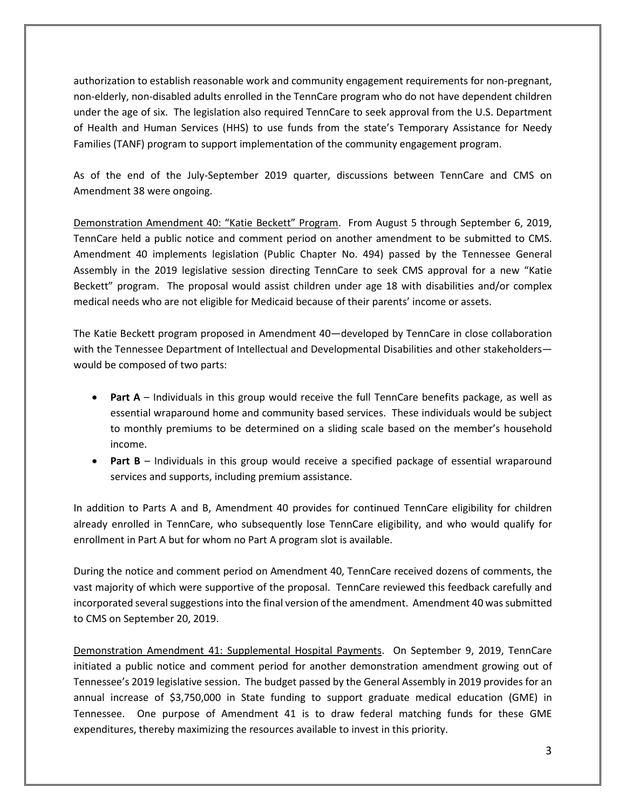authorization to establish reasonable work and community engagement requirements for non-pregnant, non-elderly, non-disabled adults enrolled in the TennCare program who do not have dependent children under the age of six. The legislation also required TennCare to seek approval from the U.S. Department of Health and Human Services (HHS) to use funds from the state's Temporary Assistance for Needy Families (TANF) program to support implementation of the community engagement program.

As of the end of the July-September 2019 quarter, discussions between TennCare and CMS on Amendment 38 were ongoing.

Demonstration Amendment 40: "Katie Beckett" Program. From August 5 through September 6, 2019, TennCare held a public notice and comment period on another amendment to be submitted to CMS. Amendment 40 implements legislation (Public Chapter No. 494) passed by the Tennessee General Assembly in the 2019 legislative session directing TennCare to seek CMS approval for a new "Katie Beckett" program. The proposal would assist children under age 18 with disabilities and/or complex medical needs who are not eligible for Medicaid because of their parents' income or assets.

The Katie Beckett program proposed in Amendment 40—developed by TennCare in close collaboration with the Tennessee Department of Intellectual and Developmental Disabilities and other stakeholders would be composed of two parts:

- **Part A** Individuals in this group would receive the full TennCare benefits package, as well as essential wraparound home and community based services. These individuals would be subject to monthly premiums to be determined on a sliding scale based on the member's household income.
- **Part B** Individuals in this group would receive a specified package of essential wraparound services and supports, including premium assistance.

In addition to Parts A and B, Amendment 40 provides for continued TennCare eligibility for children already enrolled in TennCare, who subsequently lose TennCare eligibility, and who would qualify for enrollment in Part A but for whom no Part A program slot is available.

During the notice and comment period on Amendment 40, TennCare received dozens of comments, the vast majority of which were supportive of the proposal. TennCare reviewed this feedback carefully and incorporated several suggestions into the final version of the amendment. Amendment 40 was submitted to CMS on September 20, 2019.

Demonstration Amendment 41: Supplemental Hospital Payments. On September 9, 2019, TennCare initiated a public notice and comment period for another demonstration amendment growing out of Tennessee's 2019 legislative session. The budget passed by the General Assembly in 2019 provides for an annual increase of \$3,750,000 in State funding to support graduate medical education (GME) in Tennessee. One purpose of Amendment 41 is to draw federal matching funds for these GME expenditures, thereby maximizing the resources available to invest in this priority.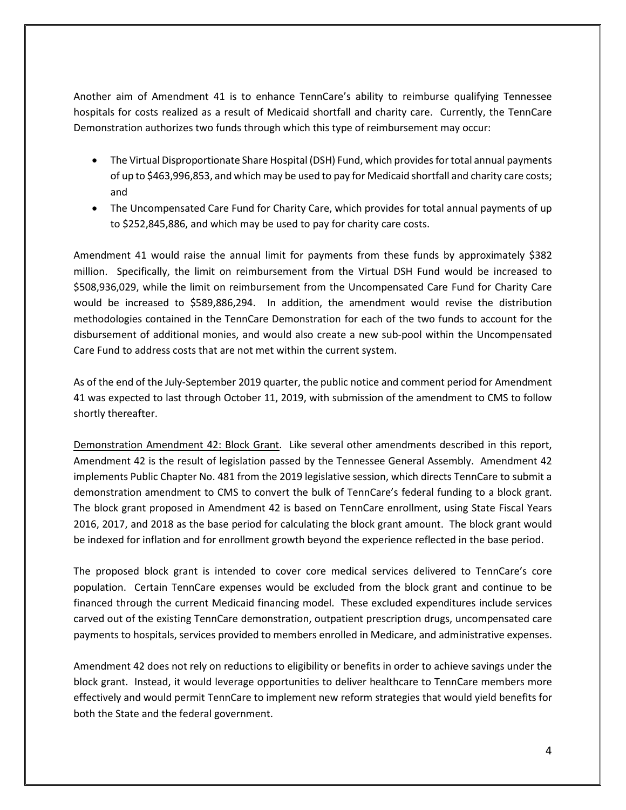Another aim of Amendment 41 is to enhance TennCare's ability to reimburse qualifying Tennessee hospitals for costs realized as a result of Medicaid shortfall and charity care. Currently, the TennCare Demonstration authorizes two funds through which this type of reimbursement may occur:

- The Virtual Disproportionate Share Hospital (DSH) Fund, which provides for total annual payments of up to \$463,996,853, and which may be used to pay for Medicaid shortfall and charity care costs; and
- The Uncompensated Care Fund for Charity Care, which provides for total annual payments of up to \$252,845,886, and which may be used to pay for charity care costs.

Amendment 41 would raise the annual limit for payments from these funds by approximately \$382 million. Specifically, the limit on reimbursement from the Virtual DSH Fund would be increased to \$508,936,029, while the limit on reimbursement from the Uncompensated Care Fund for Charity Care would be increased to \$589,886,294. In addition, the amendment would revise the distribution methodologies contained in the TennCare Demonstration for each of the two funds to account for the disbursement of additional monies, and would also create a new sub-pool within the Uncompensated Care Fund to address costs that are not met within the current system.

As of the end of the July-September 2019 quarter, the public notice and comment period for Amendment 41 was expected to last through October 11, 2019, with submission of the amendment to CMS to follow shortly thereafter.

Demonstration Amendment 42: Block Grant. Like several other amendments described in this report, Amendment 42 is the result of legislation passed by the Tennessee General Assembly. Amendment 42 implements Public Chapter No. 481 from the 2019 legislative session, which directs TennCare to submit a demonstration amendment to CMS to convert the bulk of TennCare's federal funding to a block grant. The block grant proposed in Amendment 42 is based on TennCare enrollment, using State Fiscal Years 2016, 2017, and 2018 as the base period for calculating the block grant amount. The block grant would be indexed for inflation and for enrollment growth beyond the experience reflected in the base period.

The proposed block grant is intended to cover core medical services delivered to TennCare's core population. Certain TennCare expenses would be excluded from the block grant and continue to be financed through the current Medicaid financing model. These excluded expenditures include services carved out of the existing TennCare demonstration, outpatient prescription drugs, uncompensated care payments to hospitals, services provided to members enrolled in Medicare, and administrative expenses.

Amendment 42 does not rely on reductions to eligibility or benefits in order to achieve savings under the block grant. Instead, it would leverage opportunities to deliver healthcare to TennCare members more effectively and would permit TennCare to implement new reform strategies that would yield benefits for both the State and the federal government.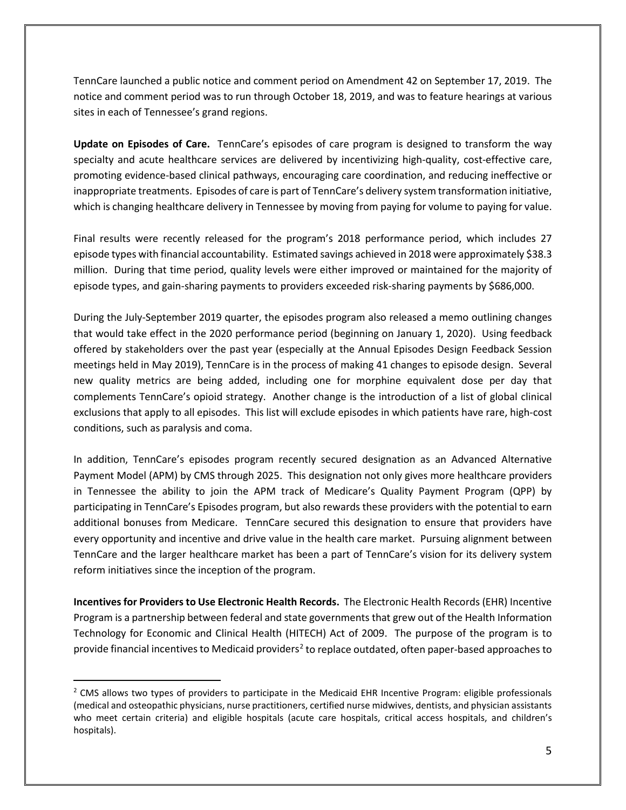TennCare launched a public notice and comment period on Amendment 42 on September 17, 2019. The notice and comment period was to run through October 18, 2019, and was to feature hearings at various sites in each of Tennessee's grand regions.

**Update on Episodes of Care.** TennCare's episodes of care program is designed to transform the way specialty and acute healthcare services are delivered by incentivizing high-quality, cost-effective care, promoting evidence-based clinical pathways, encouraging care coordination, and reducing ineffective or inappropriate treatments. Episodes of care is part of TennCare's delivery system transformation initiative, which is changing healthcare delivery in Tennessee by moving from paying for volume to paying for value.

Final results were recently released for the program's 2018 performance period, which includes 27 episode types with financial accountability. Estimated savings achieved in 2018 were approximately \$38.3 million. During that time period, quality levels were either improved or maintained for the majority of episode types, and gain-sharing payments to providers exceeded risk-sharing payments by \$686,000.

During the July-September 2019 quarter, the episodes program also released a memo outlining changes that would take effect in the 2020 performance period (beginning on January 1, 2020). Using feedback offered by stakeholders over the past year (especially at the Annual Episodes Design Feedback Session meetings held in May 2019), TennCare is in the process of making 41 changes to episode design. Several new quality metrics are being added, including one for morphine equivalent dose per day that complements TennCare's opioid strategy. Another change is the introduction of a list of global clinical exclusions that apply to all episodes. This list will exclude episodes in which patients have rare, high-cost conditions, such as paralysis and coma.

In addition, TennCare's episodes program recently secured designation as an Advanced Alternative Payment Model (APM) by CMS through 2025. This designation not only gives more healthcare providers in Tennessee the ability to join the APM track of Medicare's Quality Payment Program (QPP) by participating in TennCare's Episodes program, but also rewards these providers with the potential to earn additional bonuses from Medicare. TennCare secured this designation to ensure that providers have every opportunity and incentive and drive value in the health care market. Pursuing alignment between TennCare and the larger healthcare market has been a part of TennCare's vision for its delivery system reform initiatives since the inception of the program.

**Incentives for Providers to Use Electronic Health Records.** The Electronic Health Records (EHR) Incentive Program is a partnership between federal and state governments that grew out of the Health Information Technology for Economic and Clinical Health (HITECH) Act of 2009. The purpose of the program is to provide financial incentives to Medicaid providers<sup>[2](#page-4-0)</sup> to replace outdated, often paper-based approaches to

<span id="page-4-0"></span><sup>&</sup>lt;sup>2</sup> CMS allows two types of providers to participate in the Medicaid EHR Incentive Program: eligible professionals (medical and osteopathic physicians, nurse practitioners, certified nurse midwives, dentists, and physician assistants who meet certain criteria) and eligible hospitals (acute care hospitals, critical access hospitals, and children's hospitals).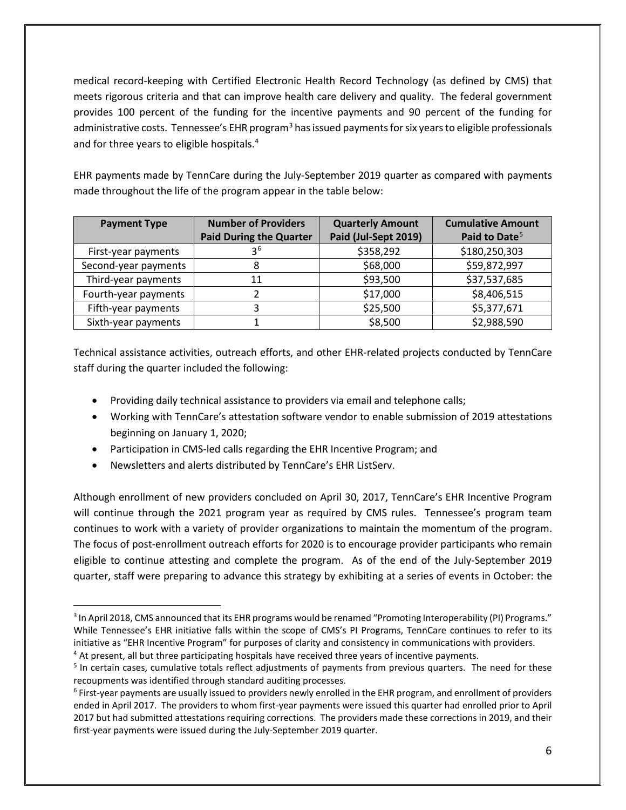medical record-keeping with Certified Electronic Health Record Technology (as defined by CMS) that meets rigorous criteria and that can improve health care delivery and quality. The federal government provides 100 percent of the funding for the incentive payments and 90 percent of the funding for administrative costs. Tennessee's EHR program<sup>[3](#page-5-0)</sup> has issued payments for six years to eligible professionals and for three years to eligible hospitals.<sup>[4](#page-5-1)</sup>

EHR payments made by TennCare during the July-September 2019 quarter as compared with payments made throughout the life of the program appear in the table below:

| <b>Payment Type</b>  | <b>Number of Providers</b><br><b>Paid During the Quarter</b> | <b>Quarterly Amount</b><br>Paid (Jul-Sept 2019) | <b>Cumulative Amount</b><br>Paid to Date <sup>5</sup> |
|----------------------|--------------------------------------------------------------|-------------------------------------------------|-------------------------------------------------------|
| First-year payments  | 3 <sup>6</sup>                                               | \$358,292                                       | \$180,250,303                                         |
| Second-year payments | 8                                                            | \$68,000                                        | \$59,872,997                                          |
| Third-year payments  | 11                                                           | \$93,500                                        | \$37,537,685                                          |
| Fourth-year payments |                                                              | \$17,000                                        | \$8,406,515                                           |
| Fifth-year payments  | 3                                                            | \$25,500                                        | \$5,377,671                                           |
| Sixth-year payments  |                                                              | \$8,500                                         | \$2,988,590                                           |

Technical assistance activities, outreach efforts, and other EHR-related projects conducted by TennCare staff during the quarter included the following:

- Providing daily technical assistance to providers via email and telephone calls;
- Working with TennCare's attestation software vendor to enable submission of 2019 attestations beginning on January 1, 2020;
- Participation in CMS-led calls regarding the EHR Incentive Program; and
- Newsletters and alerts distributed by TennCare's EHR ListServ.

Although enrollment of new providers concluded on April 30, 2017, TennCare's EHR Incentive Program will continue through the 2021 program year as required by CMS rules. Tennessee's program team continues to work with a variety of provider organizations to maintain the momentum of the program. The focus of post-enrollment outreach efforts for 2020 is to encourage provider participants who remain eligible to continue attesting and complete the program. As of the end of the July-September 2019 quarter, staff were preparing to advance this strategy by exhibiting at a series of events in October: the

<span id="page-5-0"></span><sup>&</sup>lt;sup>3</sup> In April 2018, CMS announced that its EHR programs would be renamed "Promoting Interoperability (PI) Programs." While Tennessee's EHR initiative falls within the scope of CMS's PI Programs, TennCare continues to refer to its initiative as "EHR Incentive Program" for purposes of clarity and consistency in communications with providers. <sup>4</sup> At present, all but three participating hospitals have received three years of incentive payments.

<span id="page-5-2"></span><span id="page-5-1"></span><sup>&</sup>lt;sup>5</sup> In certain cases, cumulative totals reflect adjustments of payments from previous quarters. The need for these recoupments was identified through standard auditing processes.

<span id="page-5-3"></span><sup>6</sup> First-year payments are usually issued to providers newly enrolled in the EHR program, and enrollment of providers ended in April 2017. The providers to whom first-year payments were issued this quarter had enrolled prior to April 2017 but had submitted attestations requiring corrections. The providers made these corrections in 2019, and their first-year payments were issued during the July-September 2019 quarter.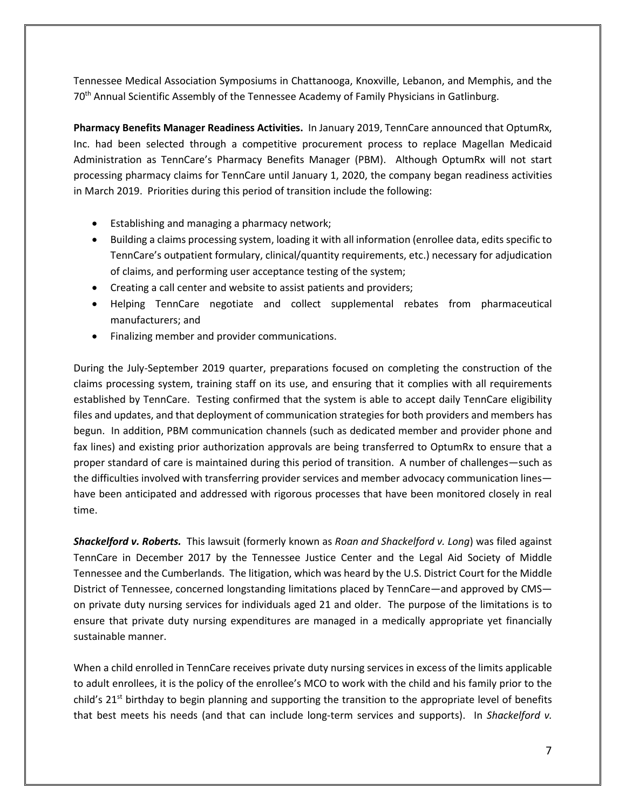Tennessee Medical Association Symposiums in Chattanooga, Knoxville, Lebanon, and Memphis, and the 70<sup>th</sup> Annual Scientific Assembly of the Tennessee Academy of Family Physicians in Gatlinburg.

**Pharmacy Benefits Manager Readiness Activities.** In January 2019, TennCare announced that OptumRx, Inc. had been selected through a competitive procurement process to replace Magellan Medicaid Administration as TennCare's Pharmacy Benefits Manager (PBM). Although OptumRx will not start processing pharmacy claims for TennCare until January 1, 2020, the company began readiness activities in March 2019. Priorities during this period of transition include the following:

- Establishing and managing a pharmacy network;
- Building a claims processing system, loading it with all information (enrollee data, edits specific to TennCare's outpatient formulary, clinical/quantity requirements, etc.) necessary for adjudication of claims, and performing user acceptance testing of the system;
- Creating a call center and website to assist patients and providers;
- Helping TennCare negotiate and collect supplemental rebates from pharmaceutical manufacturers; and
- Finalizing member and provider communications.

During the July-September 2019 quarter, preparations focused on completing the construction of the claims processing system, training staff on its use, and ensuring that it complies with all requirements established by TennCare. Testing confirmed that the system is able to accept daily TennCare eligibility files and updates, and that deployment of communication strategies for both providers and members has begun. In addition, PBM communication channels (such as dedicated member and provider phone and fax lines) and existing prior authorization approvals are being transferred to OptumRx to ensure that a proper standard of care is maintained during this period of transition. A number of challenges—such as the difficulties involved with transferring provider services and member advocacy communication lines have been anticipated and addressed with rigorous processes that have been monitored closely in real time.

*Shackelford v. Roberts.*This lawsuit (formerly known as *Roan and Shackelford v. Long*) was filed against TennCare in December 2017 by the Tennessee Justice Center and the Legal Aid Society of Middle Tennessee and the Cumberlands. The litigation, which was heard by the U.S. District Court for the Middle District of Tennessee, concerned longstanding limitations placed by TennCare—and approved by CMS on private duty nursing services for individuals aged 21 and older. The purpose of the limitations is to ensure that private duty nursing expenditures are managed in a medically appropriate yet financially sustainable manner.

When a child enrolled in TennCare receives private duty nursing services in excess of the limits applicable to adult enrollees, it is the policy of the enrollee's MCO to work with the child and his family prior to the child's 21<sup>st</sup> birthday to begin planning and supporting the transition to the appropriate level of benefits that best meets his needs (and that can include long-term services and supports). In *Shackelford v.*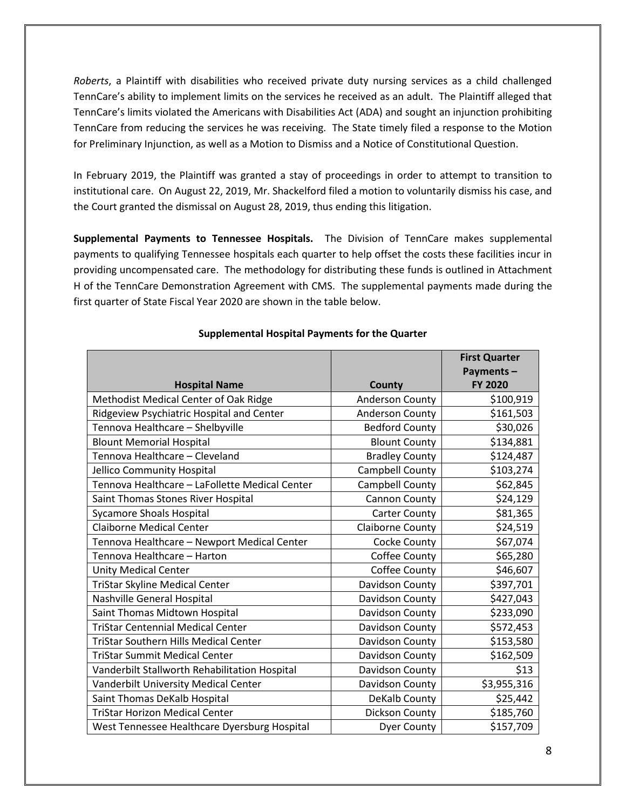*Roberts*, a Plaintiff with disabilities who received private duty nursing services as a child challenged TennCare's ability to implement limits on the services he received as an adult. The Plaintiff alleged that TennCare's limits violated the Americans with Disabilities Act (ADA) and sought an injunction prohibiting TennCare from reducing the services he was receiving. The State timely filed a response to the Motion for Preliminary Injunction, as well as a Motion to Dismiss and a Notice of Constitutional Question.

In February 2019, the Plaintiff was granted a stay of proceedings in order to attempt to transition to institutional care. On August 22, 2019, Mr. Shackelford filed a motion to voluntarily dismiss his case, and the Court granted the dismissal on August 28, 2019, thus ending this litigation.

**Supplemental Payments to Tennessee Hospitals.** The Division of TennCare makes supplemental payments to qualifying Tennessee hospitals each quarter to help offset the costs these facilities incur in providing uncompensated care. The methodology for distributing these funds is outlined in Attachment H of the TennCare Demonstration Agreement with CMS. The supplemental payments made during the first quarter of State Fiscal Year 2020 are shown in the table below.

| <b>Hospital Name</b>                           | County                  | <b>First Quarter</b><br>Payments-<br><b>FY 2020</b> |
|------------------------------------------------|-------------------------|-----------------------------------------------------|
| Methodist Medical Center of Oak Ridge          | <b>Anderson County</b>  | \$100,919                                           |
| Ridgeview Psychiatric Hospital and Center      | <b>Anderson County</b>  | \$161,503                                           |
| Tennova Healthcare - Shelbyville               | <b>Bedford County</b>   | \$30,026                                            |
| <b>Blount Memorial Hospital</b>                | <b>Blount County</b>    | \$134,881                                           |
| Tennova Healthcare - Cleveland                 | <b>Bradley County</b>   | \$124,487                                           |
| Jellico Community Hospital                     | Campbell County         | \$103,274                                           |
| Tennova Healthcare - LaFollette Medical Center | Campbell County         | \$62,845                                            |
| Saint Thomas Stones River Hospital             | Cannon County           | \$24,129                                            |
| <b>Sycamore Shoals Hospital</b>                | <b>Carter County</b>    | \$81,365                                            |
| <b>Claiborne Medical Center</b>                | <b>Claiborne County</b> | \$24,519                                            |
| Tennova Healthcare - Newport Medical Center    | Cocke County            | \$67,074                                            |
| Tennova Healthcare - Harton                    | Coffee County           | \$65,280                                            |
| <b>Unity Medical Center</b>                    | Coffee County           | \$46,607                                            |
| <b>TriStar Skyline Medical Center</b>          | Davidson County         | \$397,701                                           |
| Nashville General Hospital                     | Davidson County         | \$427,043                                           |
| Saint Thomas Midtown Hospital                  | Davidson County         | \$233,090                                           |
| <b>TriStar Centennial Medical Center</b>       | Davidson County         | \$572,453                                           |
| <b>TriStar Southern Hills Medical Center</b>   | Davidson County         | \$153,580                                           |
| <b>TriStar Summit Medical Center</b>           | Davidson County         | \$162,509                                           |
| Vanderbilt Stallworth Rehabilitation Hospital  | Davidson County         | \$13                                                |
| Vanderbilt University Medical Center           | Davidson County         | \$3,955,316                                         |
| Saint Thomas DeKalb Hospital                   | DeKalb County           | \$25,442                                            |
| <b>TriStar Horizon Medical Center</b>          | Dickson County          | \$185,760                                           |
| West Tennessee Healthcare Dyersburg Hospital   | <b>Dyer County</b>      | \$157,709                                           |

#### **Supplemental Hospital Payments for the Quarter**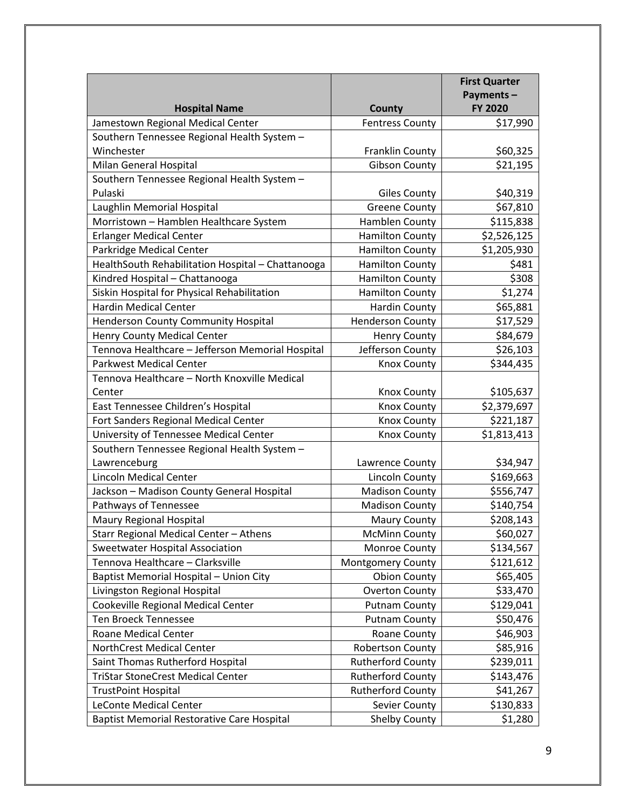|                                                   |                          | <b>First Quarter</b> |
|---------------------------------------------------|--------------------------|----------------------|
|                                                   |                          | Payments-            |
| <b>Hospital Name</b>                              | County                   | FY 2020              |
| Jamestown Regional Medical Center                 | <b>Fentress County</b>   | \$17,990             |
| Southern Tennessee Regional Health System -       |                          |                      |
| Winchester                                        | <b>Franklin County</b>   | \$60,325             |
| Milan General Hospital                            | <b>Gibson County</b>     | \$21,195             |
| Southern Tennessee Regional Health System -       |                          |                      |
| Pulaski                                           | <b>Giles County</b>      | \$40,319             |
| Laughlin Memorial Hospital                        | <b>Greene County</b>     | \$67,810             |
| Morristown - Hamblen Healthcare System            | Hamblen County           | \$115,838            |
| <b>Erlanger Medical Center</b>                    | <b>Hamilton County</b>   | \$2,526,125          |
| Parkridge Medical Center                          | <b>Hamilton County</b>   | \$1,205,930          |
| HealthSouth Rehabilitation Hospital - Chattanooga | <b>Hamilton County</b>   | \$481                |
| Kindred Hospital - Chattanooga                    | <b>Hamilton County</b>   | \$308                |
| Siskin Hospital for Physical Rehabilitation       | <b>Hamilton County</b>   | \$1,274              |
| <b>Hardin Medical Center</b>                      | <b>Hardin County</b>     | \$65,881             |
| <b>Henderson County Community Hospital</b>        | <b>Henderson County</b>  | \$17,529             |
| <b>Henry County Medical Center</b>                | <b>Henry County</b>      | \$84,679             |
| Tennova Healthcare - Jefferson Memorial Hospital  | Jefferson County         | \$26,103             |
| <b>Parkwest Medical Center</b>                    | <b>Knox County</b>       | \$344,435            |
| Tennova Healthcare - North Knoxville Medical      |                          |                      |
| Center                                            | <b>Knox County</b>       | \$105,637            |
| East Tennessee Children's Hospital                | <b>Knox County</b>       | \$2,379,697          |
| Fort Sanders Regional Medical Center              | <b>Knox County</b>       | \$221,187            |
| University of Tennessee Medical Center            | <b>Knox County</b>       | \$1,813,413          |
| Southern Tennessee Regional Health System -       |                          |                      |
| Lawrenceburg                                      | Lawrence County          | \$34,947             |
| <b>Lincoln Medical Center</b>                     | Lincoln County           | \$169,663            |
| Jackson - Madison County General Hospital         | <b>Madison County</b>    | \$556,747            |
| Pathways of Tennessee                             | <b>Madison County</b>    | \$140,754            |
| <b>Maury Regional Hospital</b>                    | <b>Maury County</b>      | \$208,143            |
| Starr Regional Medical Center - Athens            | <b>McMinn County</b>     | \$60,027             |
| <b>Sweetwater Hospital Association</b>            | Monroe County            | \$134,567            |
| Tennova Healthcare - Clarksville                  | <b>Montgomery County</b> | \$121,612            |
| Baptist Memorial Hospital - Union City            | <b>Obion County</b>      | \$65,405             |
| Livingston Regional Hospital                      | <b>Overton County</b>    | \$33,470             |
| Cookeville Regional Medical Center                | <b>Putnam County</b>     | \$129,041            |
| <b>Ten Broeck Tennessee</b>                       | <b>Putnam County</b>     | \$50,476             |
| Roane Medical Center                              | <b>Roane County</b>      | \$46,903             |
| NorthCrest Medical Center                         | <b>Robertson County</b>  | \$85,916             |
| Saint Thomas Rutherford Hospital                  | <b>Rutherford County</b> | \$239,011            |
| <b>TriStar StoneCrest Medical Center</b>          | <b>Rutherford County</b> | \$143,476            |
| <b>TrustPoint Hospital</b>                        | <b>Rutherford County</b> | \$41,267             |
| <b>LeConte Medical Center</b>                     | Sevier County            | \$130,833            |
| <b>Baptist Memorial Restorative Care Hospital</b> | <b>Shelby County</b>     | \$1,280              |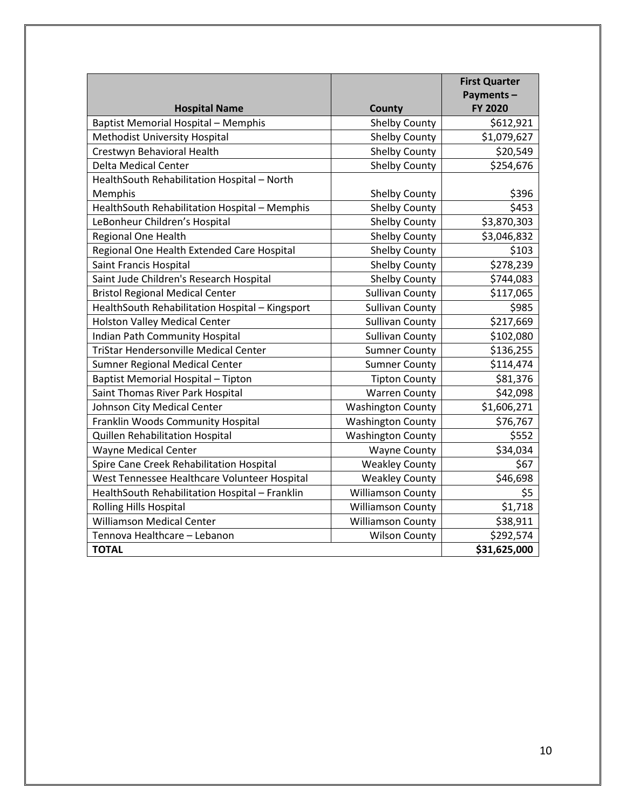|                                                 |                          | <b>First Quarter</b><br>Payments- |
|-------------------------------------------------|--------------------------|-----------------------------------|
| <b>Hospital Name</b>                            | <b>County</b>            | FY 2020                           |
| <b>Baptist Memorial Hospital - Memphis</b>      | <b>Shelby County</b>     | \$612,921                         |
| Methodist University Hospital                   | <b>Shelby County</b>     | \$1,079,627                       |
| Crestwyn Behavioral Health                      | <b>Shelby County</b>     | \$20,549                          |
| <b>Delta Medical Center</b>                     | <b>Shelby County</b>     | \$254,676                         |
| HealthSouth Rehabilitation Hospital - North     |                          |                                   |
| Memphis                                         | <b>Shelby County</b>     | \$396                             |
| HealthSouth Rehabilitation Hospital - Memphis   | <b>Shelby County</b>     | \$453                             |
| LeBonheur Children's Hospital                   | <b>Shelby County</b>     | \$3,870,303                       |
| Regional One Health                             | <b>Shelby County</b>     | \$3,046,832                       |
| Regional One Health Extended Care Hospital      | <b>Shelby County</b>     | \$103                             |
| Saint Francis Hospital                          | <b>Shelby County</b>     | \$278,239                         |
| Saint Jude Children's Research Hospital         | <b>Shelby County</b>     | \$744,083                         |
| <b>Bristol Regional Medical Center</b>          | <b>Sullivan County</b>   | \$117,065                         |
| HealthSouth Rehabilitation Hospital - Kingsport | <b>Sullivan County</b>   | \$985                             |
| <b>Holston Valley Medical Center</b>            | <b>Sullivan County</b>   | \$217,669                         |
| Indian Path Community Hospital                  | <b>Sullivan County</b>   | \$102,080                         |
| <b>TriStar Hendersonville Medical Center</b>    | <b>Sumner County</b>     | \$136,255                         |
| Sumner Regional Medical Center                  | <b>Sumner County</b>     | \$114,474                         |
| Baptist Memorial Hospital - Tipton              | <b>Tipton County</b>     | \$81,376                          |
| Saint Thomas River Park Hospital                | <b>Warren County</b>     | \$42,098                          |
| Johnson City Medical Center                     | <b>Washington County</b> | \$1,606,271                       |
| Franklin Woods Community Hospital               | <b>Washington County</b> | \$76,767                          |
| Quillen Rehabilitation Hospital                 | <b>Washington County</b> | \$552                             |
| <b>Wayne Medical Center</b>                     | <b>Wayne County</b>      | \$34,034                          |
| Spire Cane Creek Rehabilitation Hospital        | <b>Weakley County</b>    | \$67                              |
| West Tennessee Healthcare Volunteer Hospital    | <b>Weakley County</b>    | \$46,698                          |
| HealthSouth Rehabilitation Hospital - Franklin  | <b>Williamson County</b> | \$5                               |
| <b>Rolling Hills Hospital</b>                   | <b>Williamson County</b> | \$1,718                           |
| <b>Williamson Medical Center</b>                | <b>Williamson County</b> | \$38,911                          |
| Tennova Healthcare - Lebanon                    | <b>Wilson County</b>     | \$292,574                         |
| <b>TOTAL</b>                                    |                          | \$31,625,000                      |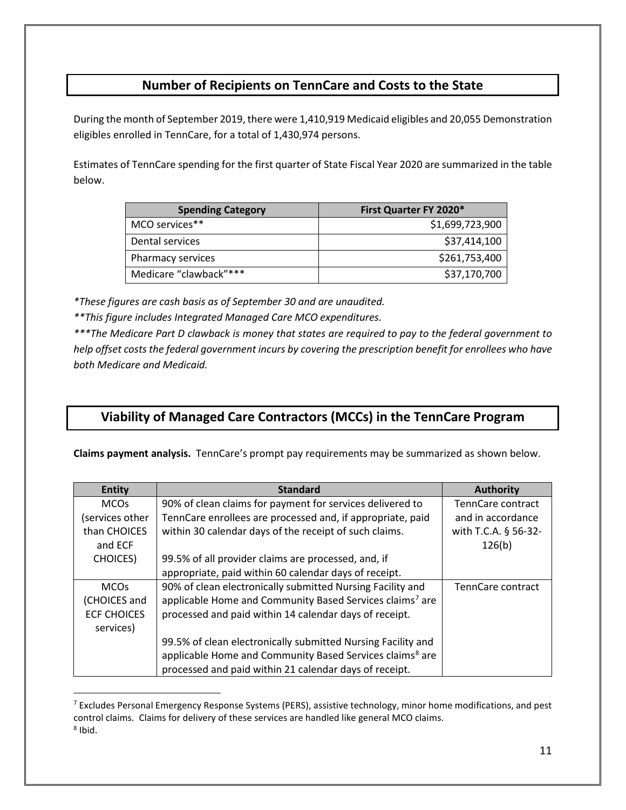## **Number of Recipients on TennCare and Costs to the State**

During the month of September 2019, there were 1,410,919 Medicaid eligibles and 20,055 Demonstration eligibles enrolled in TennCare, for a total of 1,430,974 persons.

Estimates of TennCare spending for the first quarter of State Fiscal Year 2020 are summarized in the table below.

| <b>Spending Category</b> | First Quarter FY 2020* |
|--------------------------|------------------------|
| MCO services**           | \$1,699,723,900        |
| Dental services          | \$37,414,100           |
| Pharmacy services        | \$261,753,400          |
| Medicare "clawback"***   | \$37,170,700           |

*\*These figures are cash basis as of September 30 and are unaudited.*

*\*\*This figure includes Integrated Managed Care MCO expenditures.*

*\*\*\*The Medicare Part D clawback is money that states are required to pay to the federal government to help offset costs the federal government incurs by covering the prescription benefit for enrollees who have both Medicare and Medicaid.*

## **Viability of Managed Care Contractors (MCCs) in the TennCare Program**

**Claims payment analysis.** TennCare's prompt pay requirements may be summarized as shown below.

| <b>Entity</b>      | <b>Standard</b>                                                      | <b>Authority</b>     |
|--------------------|----------------------------------------------------------------------|----------------------|
| <b>MCOs</b>        | 90% of clean claims for payment for services delivered to            | TennCare contract    |
| services other     | TennCare enrollees are processed and, if appropriate, paid           | and in accordance    |
| than CHOICES       | within 30 calendar days of the receipt of such claims.               | with T.C.A. § 56-32- |
| and ECF            |                                                                      | 126(b)               |
| <b>CHOICES</b> )   | 99.5% of all provider claims are processed, and, if                  |                      |
|                    | appropriate, paid within 60 calendar days of receipt.                |                      |
| <b>MCOs</b>        | 90% of clean electronically submitted Nursing Facility and           | TennCare contract    |
| (CHOICES and       | applicable Home and Community Based Services claims <sup>7</sup> are |                      |
| <b>ECF CHOICES</b> | processed and paid within 14 calendar days of receipt.               |                      |
| services)          |                                                                      |                      |
|                    | 99.5% of clean electronically submitted Nursing Facility and         |                      |
|                    | applicable Home and Community Based Services claims <sup>8</sup> are |                      |
|                    | processed and paid within 21 calendar days of receipt.               |                      |

<span id="page-10-1"></span><span id="page-10-0"></span><sup>&</sup>lt;sup>7</sup> Excludes Personal Emergency Response Systems (PERS), assistive technology, minor home modifications, and pest control claims. Claims for delivery of these services are handled like general MCO claims.  $8$  Ibid.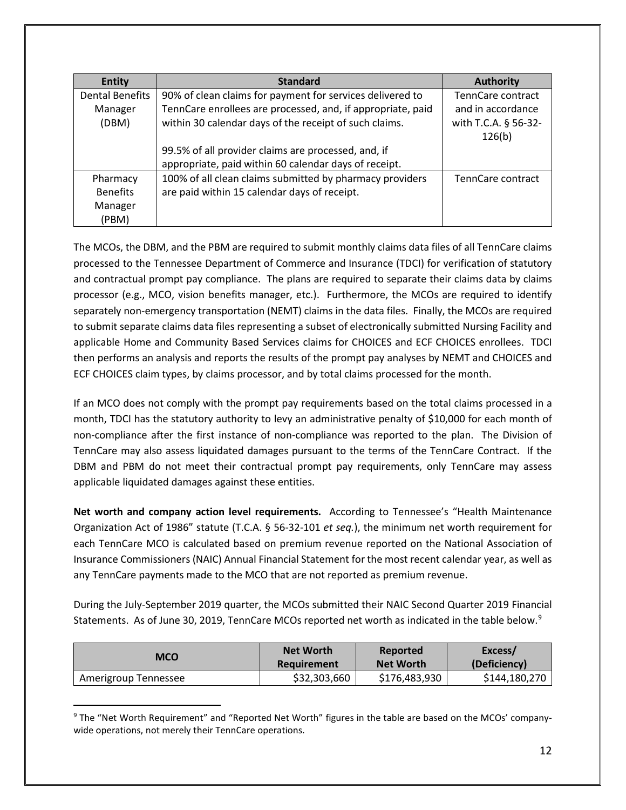| <b>Entity</b>          | <b>Standard</b>                                             | <b>Authority</b>     |
|------------------------|-------------------------------------------------------------|----------------------|
| <b>Dental Benefits</b> | 90% of clean claims for payment for services delivered to   | TennCare contract    |
| Manager                | TennCare enrollees are processed, and, if appropriate, paid | and in accordance    |
| (DBM)                  | within 30 calendar days of the receipt of such claims.      | with T.C.A. § 56-32- |
|                        |                                                             | 126(b)               |
|                        | 99.5% of all provider claims are processed, and, if         |                      |
|                        | appropriate, paid within 60 calendar days of receipt.       |                      |
| Pharmacy               | 100% of all clean claims submitted by pharmacy providers    | TennCare contract    |
| <b>Benefits</b>        | are paid within 15 calendar days of receipt.                |                      |
| Manager                |                                                             |                      |
| (PBM)                  |                                                             |                      |

The MCOs, the DBM, and the PBM are required to submit monthly claims data files of all TennCare claims processed to the Tennessee Department of Commerce and Insurance (TDCI) for verification of statutory and contractual prompt pay compliance. The plans are required to separate their claims data by claims processor (e.g., MCO, vision benefits manager, etc.). Furthermore, the MCOs are required to identify separately non-emergency transportation (NEMT) claims in the data files. Finally, the MCOs are required to submit separate claims data files representing a subset of electronically submitted Nursing Facility and applicable Home and Community Based Services claims for CHOICES and ECF CHOICES enrollees. TDCI then performs an analysis and reports the results of the prompt pay analyses by NEMT and CHOICES and ECF CHOICES claim types, by claims processor, and by total claims processed for the month.

If an MCO does not comply with the prompt pay requirements based on the total claims processed in a month, TDCI has the statutory authority to levy an administrative penalty of \$10,000 for each month of non-compliance after the first instance of non-compliance was reported to the plan. The Division of TennCare may also assess liquidated damages pursuant to the terms of the TennCare Contract. If the DBM and PBM do not meet their contractual prompt pay requirements, only TennCare may assess applicable liquidated damages against these entities.

**Net worth and company action level requirements.** According to Tennessee's "Health Maintenance Organization Act of 1986" statute (T.C.A. § 56-32-101 *et seq.*), the minimum net worth requirement for each TennCare MCO is calculated based on premium revenue reported on the National Association of Insurance Commissioners (NAIC) Annual Financial Statement for the most recent calendar year, as well as any TennCare payments made to the MCO that are not reported as premium revenue.

During the July-September 2019 quarter, the MCOs submitted their NAIC Second Quarter 2019 Financial Statements. As of June 30, 201[9](#page-11-0), TennCare MCOs reported net worth as indicated in the table below.<sup>9</sup>

| <b>MCO</b>           | <b>Net Worth</b> | Reported         | Excess/       |
|----------------------|------------------|------------------|---------------|
|                      | Requirement      | <b>Net Worth</b> | (Deficiency)  |
| Amerigroup Tennessee | \$32,303,660     | \$176,483,930    | \$144,180,270 |

<span id="page-11-0"></span> <sup>9</sup> The "Net Worth Requirement" and "Reported Net Worth" figures in the table are based on the MCOs' companywide operations, not merely their TennCare operations.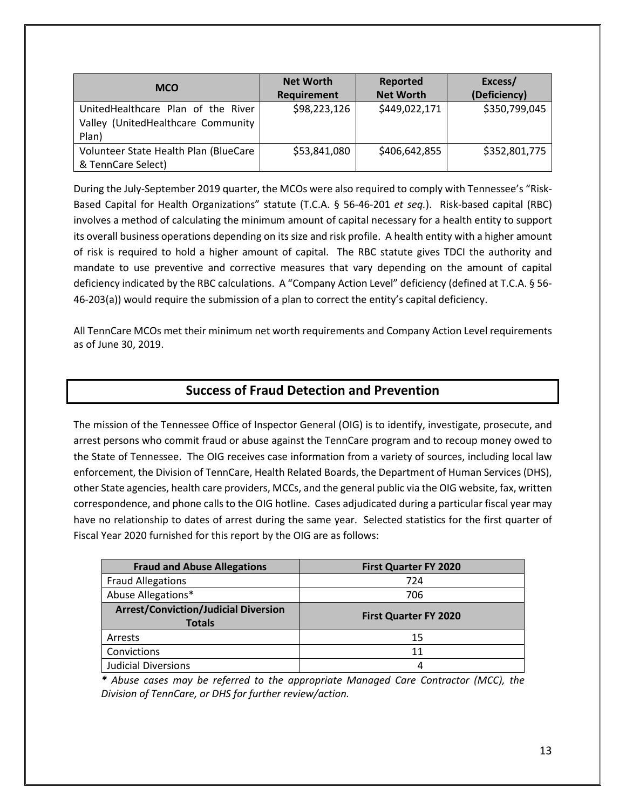| <b>MCO</b>                            | <b>Net Worth</b> | Reported         | Excess/       |
|---------------------------------------|------------------|------------------|---------------|
|                                       | Requirement      | <b>Net Worth</b> | (Deficiency)  |
| UnitedHealthcare Plan of the River    | \$98,223,126     | \$449,022,171    | \$350,799,045 |
| Valley (UnitedHealthcare Community    |                  |                  |               |
| Plan)                                 |                  |                  |               |
| Volunteer State Health Plan (BlueCare | \$53,841,080     | \$406,642,855    | \$352,801,775 |
| & TennCare Select)                    |                  |                  |               |

During the July-September 2019 quarter, the MCOs were also required to comply with Tennessee's "Risk-Based Capital for Health Organizations" statute (T.C.A. § 56-46-201 *et seq.*). Risk-based capital (RBC) involves a method of calculating the minimum amount of capital necessary for a health entity to support its overall business operations depending on its size and risk profile. A health entity with a higher amount of risk is required to hold a higher amount of capital. The RBC statute gives TDCI the authority and mandate to use preventive and corrective measures that vary depending on the amount of capital deficiency indicated by the RBC calculations. A "Company Action Level" deficiency (defined at T.C.A. § 56- 46-203(a)) would require the submission of a plan to correct the entity's capital deficiency.

All TennCare MCOs met their minimum net worth requirements and Company Action Level requirements as of June 30, 2019.

### **Success of Fraud Detection and Prevention**

The mission of the Tennessee Office of Inspector General (OIG) is to identify, investigate, prosecute, and arrest persons who commit fraud or abuse against the TennCare program and to recoup money owed to the State of Tennessee.The OIG receives case information from a variety of sources, including local law enforcement, the Division of TennCare, Health Related Boards, the Department of Human Services (DHS), other State agencies, health care providers, MCCs, and the general public via the OIG website, fax, written correspondence, and phone calls to the OIG hotline. Cases adjudicated during a particular fiscal year may have no relationship to dates of arrest during the same year. Selected statistics for the first quarter of Fiscal Year 2020 furnished for this report by the OIG are as follows:

| <b>Fraud and Abuse Allegations</b>                           | <b>First Quarter FY 2020</b> |
|--------------------------------------------------------------|------------------------------|
| <b>Fraud Allegations</b>                                     | 724                          |
| Abuse Allegations*                                           | 706                          |
| <b>Arrest/Conviction/Judicial Diversion</b><br><b>Totals</b> | <b>First Quarter FY 2020</b> |
| Arrests                                                      | 15                           |
| Convictions                                                  | 11                           |
| <b>Judicial Diversions</b>                                   | 4                            |

*\* Abuse cases may be referred to the appropriate Managed Care Contractor (MCC), the Division of TennCare, or DHS for further review/action.*